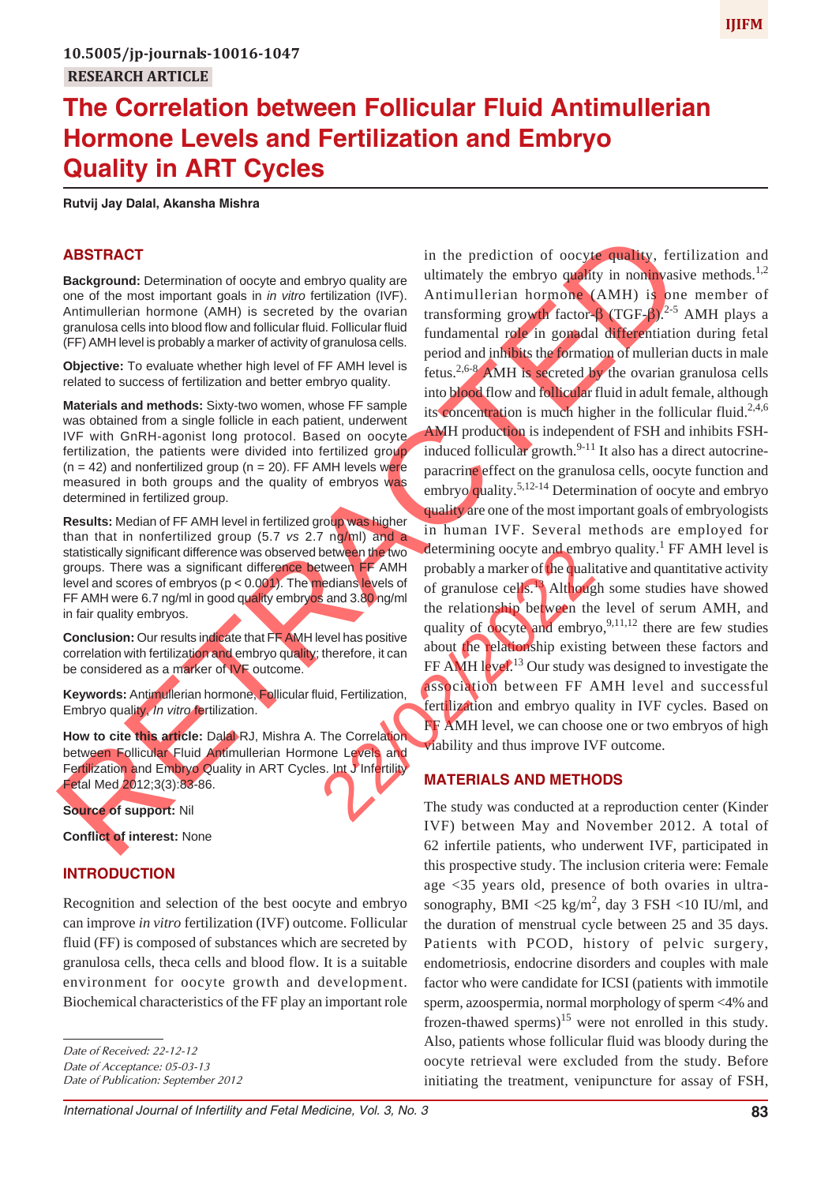## **The Correlation between Follicular Fluid Antimullerian Hormone Levels and Fertilization and Embryo Quality in ART Cycles**

**Rutvij Jay Dalal, Akansha Mishra**

### **ABSTRACT**

**Background:** Determination of oocyte and embryo quality are one of the most important goals in *in vitro* fertilization (IVF). Antimullerian hormone (AMH) is secreted by the ovarian granulosa cells into blood flow and follicular fluid. Follicular fluid (FF) AMH level is probably a marker of activity of granulosa cells.

**Objective:** To evaluate whether high level of FF AMH level is related to success of fertilization and better embryo quality.

**Materials and methods:** Sixty-two women, whose FF sample was obtained from a single follicle in each patient, underwent IVF with GnRH-agonist long protocol. Based on oocyte fertilization, the patients were divided into fertilized group  $(n = 42)$  and nonfertilized group  $(n = 20)$ . FF AMH levels were measured in both groups and the quality of embryos was determined in fertilized group.

**Results:** Median of FF AMH level in fertilized group was higher than that in nonfertilized group (5.7 *vs* 2.7 ng/ml) and a statistically significant difference was observed between the two groups. There was a significant difference between FF AMH level and scores of embryos ( $p < 0.001$ ). The medians levels of FF AMH were 6.7 ng/ml in good quality embryos and 3.80 ng/ml in fair quality embryos.

**Conclusion:** Our results indicate that FF AMH level has positive correlation with fertilization and embryo quality; therefore, it can be considered as a marker of IVF outcome.

**Keywords:** Antimullerian hormone, Follicular fluid, Fertilization, Embryo quality, *In vitro* fertilization.

**How to cite this article:** Dalal RJ, Mishra A. The Correlation between Follicular Fluid Antimullerian Hormone Levels and Fertilization and Embryo Quality in ART Cycles. Int J Infertility Fetal Med 2012;3(3):83-86.

**Source of support:** Nil

**Conflict of interest:** None

### **INTRODUCTION**

Recognition and selection of the best oocyte and embryo can improve *in vitro* fertilization (IVF) outcome. Follicular fluid (FF) is composed of substances which are secreted by granulosa cells, theca cells and blood flow. It is a suitable environment for oocyte growth and development. Biochemical characteristics of the FF play an important role

*Date of Publication: September 2012*

**ABSTRACT**<br> **Example 2011** in the prediction of occupatibly fortilization and the proposition of occupatible embyo galaty in Background Chemical control and the most proposition and the most proposition and the most propo in the prediction of oocyte quality, fertilization and ultimately the embryo quality in noninvasive methods.<sup>1,2</sup> Antimullerian hormone (AMH) is one member of transforming growth factor-β (TGF-β).<sup>2-5</sup> AMH plays a fundamental role in gonadal differentiation during fetal period and inhibits the formation of mullerian ducts in male fetus.<sup>2,6-8</sup> AMH is secreted by the ovarian granulosa cells into blood flow and follicular fluid in adult female, although its concentration is much higher in the follicular fluid.<sup>2,4,6</sup> AMH production is independent of FSH and inhibits FSHinduced follicular growth.<sup>9-11</sup> It also has a direct autocrineparacrine effect on the granulosa cells, oocyte function and embryo quality.<sup>5,12-14</sup> Determination of oocyte and embryo quality are one of the most important goals of embryologists in human IVF. Several methods are employed for determining oocyte and embryo quality.<sup>1</sup> FF AMH level is probably a marker of the qualitative and quantitative activity of granulose cells.<sup>13</sup> Although some studies have showed the relationship between the level of serum AMH, and quality of oocyte and embryo,<sup>9,11,12</sup> there are few studies about the relationship existing between these factors and FF AMH level.<sup>13</sup> Our study was designed to investigate the association between FF AMH level and successful fertilization and embryo quality in IVF cycles. Based on FF AMH level, we can choose one or two embryos of high viability and thus improve IVF outcome. between FF AMH probably a marker of the quality<br>edians levels of granulose cells.<br>Second and 3.80 ng/m<br>the relationship between the<br>evel has positive duality of obcyte and embry<br>therefore, it can<br>about the relationship exi

### **MATERIALS AND METHODS**

The study was conducted at a reproduction center (Kinder IVF) between May and November 2012. A total of 62 infertile patients, who underwent IVF, participated in this prospective study. The inclusion criteria were: Female age <35 years old, presence of both ovaries in ultrasonography, BMI <25 kg/m<sup>2</sup>, day 3 FSH <10 IU/ml, and the duration of menstrual cycle between 25 and 35 days. Patients with PCOD, history of pelvic surgery, endometriosis, endocrine disorders and couples with male factor who were candidate for ICSI (patients with immotile sperm, azoospermia, normal morphology of sperm <4% and frozen-thawed sperms)<sup>15</sup> were not enrolled in this study. Also, patients whose follicular fluid was bloody during the oocyte retrieval were excluded from the study. Before initiating the treatment, venipuncture for assay of FSH,

*Date of Received: 22-12-12 Date of Acceptance: 05-03-13*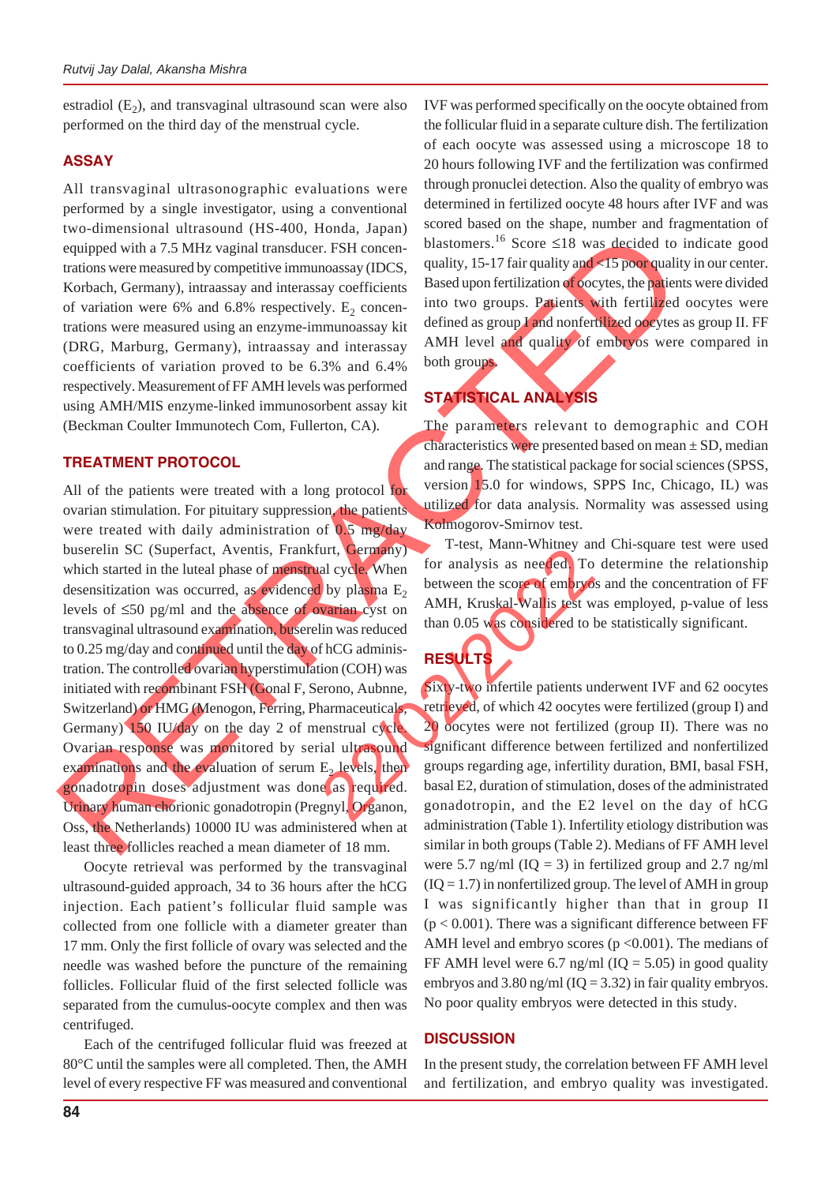estradiol  $(E_2)$ , and transvaginal ultrasound scan were also performed on the third day of the menstrual cycle.

### **ASSAY**

All transvaginal ultrasonographic evaluations were performed by a single investigator, using a conventional two-dimensional ultrasound (HS-400, Honda, Japan) equipped with a 7.5 MHz vaginal transducer. FSH concentrations were measured by competitive immunoassay (IDCS, Korbach, Germany), intraassay and interassay coefficients of variation were 6% and 6.8% respectively.  $E_2$  concentrations were measured using an enzyme-immunoassay kit (DRG, Marburg, Germany), intraassay and interassay coefficients of variation proved to be 6.3% and 6.4% respectively. Measurement of FF AMH levels was performed using AMH/MIS enzyme-linked immunosorbent assay kit (Beckman Coulter Immunotech Com, Fullerton, CA).

### **TREATMENT PROTOCOL**

From Simon University and the S-400, Homel Happy and the stationary of the stationary in the stationary in the stationary in the stationary in the stationary in the stationary in the stationary in the stationary in the st All of the patients were treated with a long protocol for ovarian stimulation. For pituitary suppression, the patients were treated with daily administration of  $0.5 \text{ mg/day}$ buserelin SC (Superfact, Aventis, Frankfurt, Germany) which started in the luteal phase of menstrual cycle. When desensitization was occurred, as evidenced by plasma  $E<sub>2</sub>$ levels of ≤50 pg/ml and the absence of ovarian cyst on transvaginal ultrasound examination, buserelin was reduced to 0.25 mg/day and continued until the day of hCG administration. The controlled ovarian hyperstimulation (COH) was initiated with recombinant FSH (Gonal F, Serono, Aubnne, Switzerland) or HMG (Menogon, Ferring, Pharmaceuticals, Germany) 150 IU/day on the day 2 of menstrual cycle Ovarian response was monitored by serial ultrasound examinations and the evaluation of serum  $E<sub>2</sub>$  levels, then gonadotropin doses adjustment was done as required. Urinary human chorionic gonadotropin (Pregnyl, Organon, Oss, the Netherlands) 10000 IU was administered when at least three follicles reached a mean diameter of 18 mm. The Content of the Branch of the Branch of the Branch of the Branch of the Branch of the Branch of the Branch of the Branch of the Branch of the Branch of the Branch of the Branch of the Branch of the Branch of the Branch

Oocyte retrieval was performed by the transvaginal ultrasound-guided approach, 34 to 36 hours after the hCG injection. Each patient's follicular fluid sample was collected from one follicle with a diameter greater than 17 mm. Only the first follicle of ovary was selected and the needle was washed before the puncture of the remaining follicles. Follicular fluid of the first selected follicle was separated from the cumulus-oocyte complex and then was centrifuged.

Each of the centrifuged follicular fluid was freezed at 80°C until the samples were all completed. Then, the AMH level of every respective FF was measured and conventional IVF was performed specifically on the oocyte obtained from the follicular fluid in a separate culture dish. The fertilization of each oocyte was assessed using a microscope 18 to 20 hours following IVF and the fertilization was confirmed through pronuclei detection. Also the quality of embryo was determined in fertilized oocyte 48 hours after IVF and was scored based on the shape, number and fragmentation of blastomers.<sup>16</sup> Score ≤18 was decided to indicate good quality, 15-17 fair quality and <15 poor quality in our center. Based upon fertilization of oocytes, the patients were divided into two groups. Patients with fertilized oocytes were defined as group I and nonfertilized oocytes as group II. FF AMH level and quality of embryos were compared in both groups.

## **STATISTICAL ANALYSIS**

The parameters relevant to demographic and COH characteristics were presented based on mean  $\pm$  SD, median and range. The statistical package for social sciences (SPSS, version 15.0 for windows, SPPS Inc, Chicago, IL) was utilized for data analysis. Normality was assessed using Kolmogorov-Smirnov test.

T-test, Mann-Whitney and Chi-square test were used for analysis as needed. To determine the relationship between the score of embryos and the concentration of FF AMH, Kruskal-Wallis test was employed, p-value of less than 0.05 was considered to be statistically significant.

# **RESULTS**

Sixty-two infertile patients underwent IVF and 62 oocytes retrieved, of which 42 oocytes were fertilized (group I) and 20 oocytes were not fertilized (group II). There was no significant difference between fertilized and nonfertilized groups regarding age, infertility duration, BMI, basal FSH, basal E2, duration of stimulation, doses of the administrated gonadotropin, and the E2 level on the day of hCG administration (Table 1). Infertility etiology distribution was similar in both groups (Table 2). Medians of FF AMH level were 5.7 ng/ml  $(IQ = 3)$  in fertilized group and 2.7 ng/ml  $(IQ = 1.7)$  in nonfertilized group. The level of AMH in group I was significantly higher than that in group II  $(p < 0.001)$ . There was a significant difference between FF AMH level and embryo scores ( $p < 0.001$ ). The medians of FF AMH level were 6.7 ng/ml  $(IQ = 5.05)$  in good quality embryos and 3.80 ng/ml ( $IQ = 3.32$ ) in fair quality embryos. No poor quality embryos were detected in this study.

### **DISCUSSION**

In the present study, the correlation between FF AMH level and fertilization, and embryo quality was investigated.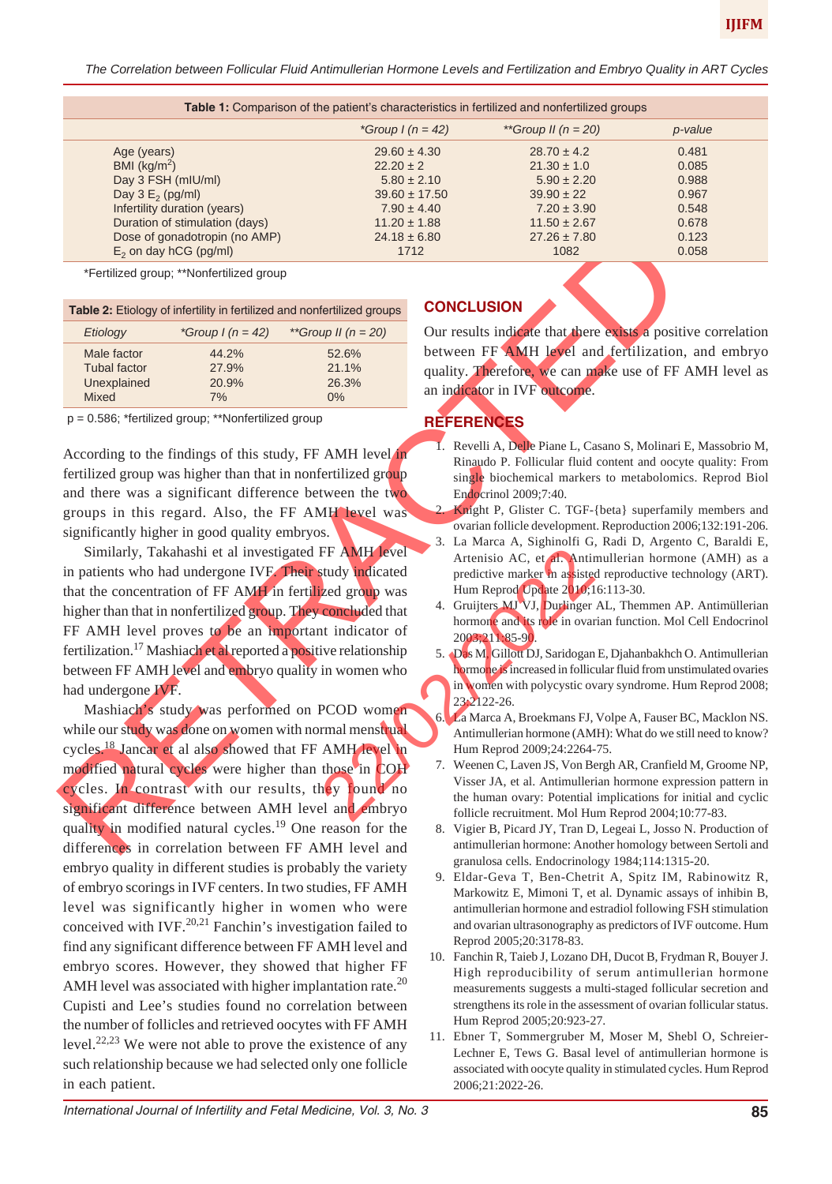*The Correlation between Follicular Fluid Antimullerian Hormone Levels and Fertilization and Embryo Quality in ART Cycles*

| Table 1: Comparison of the patient's characteristics in fertilized and nonfertilized groups |                         |         |  |
|---------------------------------------------------------------------------------------------|-------------------------|---------|--|
| *Group $I(n = 42)$                                                                          | **Group II ( $n = 20$ ) | p-value |  |
| $29.60 \pm 4.30$                                                                            | $28.70 \pm 4.2$         | 0.481   |  |
| $22.20 \pm 2$                                                                               | $21.30 \pm 1.0$         | 0.085   |  |
| $5.80 \pm 2.10$                                                                             | $5.90 \pm 2.20$         | 0.988   |  |
| $39.60 \pm 17.50$                                                                           | $39.90 \pm 22$          | 0.967   |  |
| $7.90 \pm 4.40$                                                                             | $7.20 \pm 3.90$         | 0.548   |  |
| $11.20 \pm 1.88$                                                                            | $11.50 \pm 2.67$        | 0.678   |  |
| $24.18 \pm 6.80$                                                                            | $27.26 \pm 7.80$        | 0.123   |  |
| 1712                                                                                        | 1082                    | 0.058   |  |
|                                                                                             |                         |         |  |

\*Fertilized group; \*\*Nonfertilized group

| Table 2: Etiology of infertility in fertilized and nonfertilized groups |                    |                     |  |
|-------------------------------------------------------------------------|--------------------|---------------------|--|
| Etiology                                                                | *Group $1(n = 42)$ | **Group II $(n=20)$ |  |
| Male factor                                                             | 44.2%              | 52.6%               |  |
| <b>Tubal factor</b>                                                     | 27.9%              | 21.1%               |  |
| Unexplained                                                             | 20.9%              | 26.3%               |  |
| <b>Mixed</b>                                                            | 7%                 | $0\%$               |  |

p = 0.586; \*fertilized group; \*\*Nonfertilized group

According to the findings of this study, FF AMH level in fertilized group was higher than that in nonfertilized group and there was a significant difference between the two groups in this regard. Also, the FF AMH level was significantly higher in good quality embryos.

Similarly, Takahashi et al investigated FF AMH level in patients who had undergone IVF. Their study indicated that the concentration of FF AMH in fertilized group was higher than that in nonfertilized group. They concluded that FF AMH level proves to be an important indicator of fertilization.<sup>17</sup> Mashiach et al reported a positive relationship between FF AMH level and embryo quality in women who had undergone IVF. FF AMH level<br>
and predictive marker in assisted<br>
ized group was<br>
Hum Reprod Update 2010;1<br>
concluded that<br>
4. Gruijters MI VJ, Durlinger<br>
in women who<br>
in women who<br>
be in ovariationship<br>
in women who<br>
be in court of<br>
2321

Does of portulation (in AMP)<br>
Equivalent properties and non-termined group<br>
Trade 2: Ensidog volt inferiment and proper control termine and non-termined group<br>
The Cause of the computer of the computer of the computer of Mashiach's study was performed on PCOD women while our study was done on women with normal menstrual cycles.18 Jancar et al also showed that FF AMH level in modified natural cycles were higher than those in COH cycles. In contrast with our results, they found no significant difference between AMH level and embryo quality in modified natural cycles.<sup>19</sup> One reason for the differences in correlation between FF AMH level and embryo quality in different studies is probably the variety of embryo scorings in IVF centers. In two studies, FF AMH level was significantly higher in women who were conceived with IVF. $^{20,21}$  Fanchin's investigation failed to find any significant difference between FF AMH level and embryo scores. However, they showed that higher FF AMH level was associated with higher implantation rate.<sup>20</sup> Cupisti and Lee's studies found no correlation between the number of follicles and retrieved oocytes with FF AMH level.<sup>22,23</sup> We were not able to prove the existence of any such relationship because we had selected only one follicle in each patient.

### **CONCLUSION**

Our results indicate that there exists a positive correlation between FF AMH level and fertilization, and embryo quality. Therefore, we can make use of FF AMH level as an indicator in IVF outcome.

### **REFERENCES**

- 1. Revelli A, Delle Piane L, Casano S, Molinari E, Massobrio M, Rinaudo P. Follicular fluid content and oocyte quality: From single biochemical markers to metabolomics. Reprod Biol Endocrinol 2009;7:40.
- Knight P, Glister C. TGF-{beta} superfamily members and ovarian follicle development. Reproduction 2006;132:191-206.
- 3. La Marca A, Sighinolfi G, Radi D, Argento C, Baraldi E, Artenisio AC, et al. Antimullerian hormone (AMH) as a predictive marker in assisted reproductive technology (ART). Hum Reprod Update 2010;16:113-30.
- Gruijters MJ VJ, Durlinger AL, Themmen AP. Antimüllerian hormone and its role in ovarian function. Mol Cell Endocrinol 2003;211:85-90.
- 5. Das M, Gillott DJ, Saridogan E, Djahanbakhch O. Antimullerian hormone is increased in follicular fluid from unstimulated ovaries in women with polycystic ovary syndrome. Hum Reprod 2008; 23:2122-26.
- 6. La Marca A, Broekmans FJ, Volpe A, Fauser BC, Macklon NS. Antimullerian hormone (AMH): What do we still need to know? Hum Reprod 2009;24:2264-75.
- 7. Weenen C, Laven JS, Von Bergh AR, Cranfield M, Groome NP, Visser JA, et al. Antimullerian hormone expression pattern in the human ovary: Potential implications for initial and cyclic follicle recruitment. Mol Hum Reprod 2004;10:77-83.
- 8. Vigier B, Picard JY, Tran D, Legeai L, Josso N. Production of antimullerian hormone: Another homology between Sertoli and granulosa cells. Endocrinology 1984;114:1315-20.
- 9. Eldar-Geva T, Ben-Chetrit A, Spitz IM, Rabinowitz R, Markowitz E, Mimoni T, et al. Dynamic assays of inhibin B, antimullerian hormone and estradiol following FSH stimulation and ovarian ultrasonography as predictors of IVF outcome. Hum Reprod 2005;20:3178-83.
- 10. Fanchin R, Taieb J, Lozano DH, Ducot B, Frydman R, Bouyer J. High reproducibility of serum antimullerian hormone measurements suggests a multi-staged follicular secretion and strengthens its role in the assessment of ovarian follicular status. Hum Reprod 2005;20:923-27.
- 11. Ebner T, Sommergruber M, Moser M, Shebl O, Schreier-Lechner E, Tews G. Basal level of antimullerian hormone is associated with oocyte quality in stimulated cycles. Hum Reprod 2006;21:2022-26.